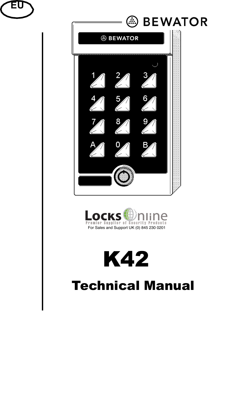

K42

### Technical Manual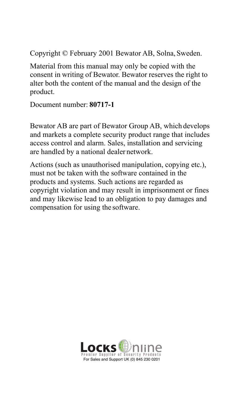Copyright © February 2001 Bewator AB, Solna, Sweden.

Material from this manual may only be copied with the consent in writing of Bewator. Bewator reserves the right to alter both the content of the manual and the design of the product.

Document number: **80717-1**

Bewator AB are part of Bewator Group AB, which develops and markets a complete security product range that includes access control and alarm. Sales, installation and servicing are handled by a national dealer network.

Actions (such as unauthorised manipulation, copying etc.), must not be taken with the software contained in the products and systems. Such actions are regarded as copyright violation and may result in imprisonment or fines and may likewise lead to an obligation to pay damages and compensation for using the software.

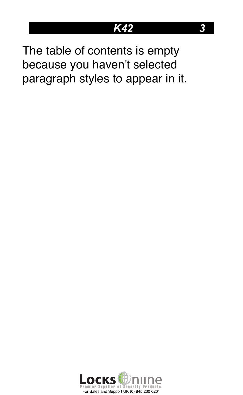#### *K42 3*

The table of contents is empty because you haven't selected paragraph styles to appear in it.

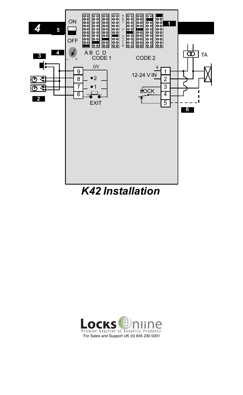

#### *K42 Installation*

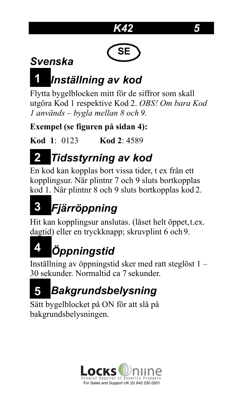

**SE**

### *Svenska* **1** *Inställning av kod*

Flytta bygelblocken mitt för de siffror som skall utgöra Kod 1 respektive Kod 2. *OBS! Om bara Kod 1 används – bygla mellan 8 och 9.*

**Exempel (se figuren på sidan 4):** 

**Kod 1**: 0123 **Kod 2**: 4589

### **2** *Tidsstyrning av kod*

En kod kan kopplas bort vissa tider, t ex från ett kopplingsur. När plintnr 7 och 9 sluts bortkopplas kod 1. När plintnr 8 och 9 sluts bortkopplas kod 2.

# **3** *Fjärröppning*

Hit kan kopplingsur anslutas. (låset helt öppet, t.ex. dagtid) eller en tryckknapp; skruvplint 6 och 9.

# **4** *Öppningstid*

Inställning av öppningstid sker med ratt steglöst 1 – 30 sekunder. Normaltid ca 7 sekunder.

# **5** *Bakgrundsbelysning*

Sätt bygelblocket på ON för att slå på bakgrundsbelysningen.

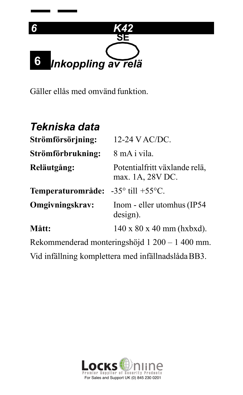

Gäller ellås med omvänd funktion.

| Tekniska data                                  |                                                    |
|------------------------------------------------|----------------------------------------------------|
| Strömförsörjning:                              | 12-24 V AC/DC.                                     |
| Strömförbrukning:                              | 8 mA i vila.                                       |
| Reläutgång:                                    | Potentialfritt växlande relä.<br>max. 1A, 28V DC.  |
| Temperaturområde:                              | $-35^\circ$ till $+55^\circ$ C.                    |
| Omgivningskrav:                                | Inom - eller utomhus (IP54)<br>$design)$ .         |
| Mått:                                          | $140 \times 80 \times 40$ mm (hxbxd).              |
| Rekommenderad monteringshöjd 1 200 – 1 400 mm. |                                                    |
|                                                | Vid infällning komplettera med infällnadslåda BB3. |

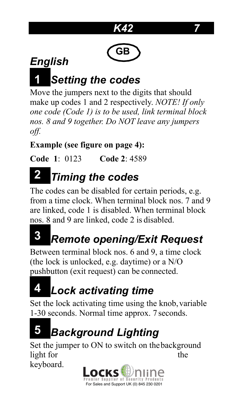

**GB**

# *English* **1** *Setting the codes*

Move the jumpers next to the digits that should make up codes 1 and 2 respectively. *NOTE! If only one code (Code 1) is to be used, link terminal block nos. 8 and 9 together. Do NOT leave any jumpers off.*

#### **Example (see figure on page 4):**

**Code 1**: 0123 **Code 2**: 4589

## **2** *Timing the codes*

The codes can be disabled for certain periods, e.g. from a time clock. When terminal block nos. 7 and 9 are linked, code 1 is disabled. When terminal block nos. 8 and 9 are linked, code 2 is disabled.

### **3** *Remote opening/Exit Request*

Between terminal block nos. 6 and 9, a time clock (the lock is unlocked, e.g. daytime) or a N/O pushbutton (exit request) can be connected.

# **4** *Lock activating time*

Set the lock activating time using the knob, variable 1-30 seconds. Normal time approx. 7 seconds.

# **5** *Background Lighting*

Set the jumper to ON to switch on thebackground light for the

keyboard.

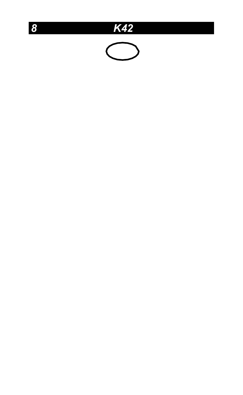

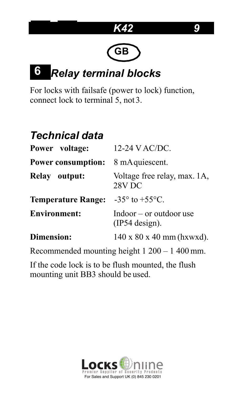

# **GB**

# **6** *Relay terminal blocks*

For locks with failsafe (power to lock) function, connect lock to terminal 5, not 3.

#### *Technical data*

| Power voltage:            | 12-24 V AC/DC.                                    |
|---------------------------|---------------------------------------------------|
| Power consumption:        | 8 mAquiescent.                                    |
| Relay output:             | Voltage free relay, max. 1A,<br>28V <sub>DC</sub> |
| <b>Temperature Range:</b> | $-35^{\circ}$ to $+55^{\circ}$ C.                 |
| <b>Environment:</b>       | Indoor – or outdoor use<br>$(IP54$ design).       |
| <b>Dimension:</b>         | $140 \times 80 \times 40$ mm (hxwxd).             |
|                           |                                                   |

Recommended mounting height 1 200 – 1 400 mm.

If the code lock is to be flush mounted, the flush mounting unit BB3 should be used.

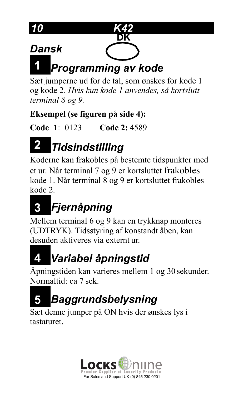#### *10 K42* **DK** *Dansk* **1** *Programming av kode*

Sæt jumperne ud for de tal, som ønskes for kode 1 og kode 2. *Hvis kun kode 1 anvendes, så kortslutt terminal 8 og 9.*

**Eksempel (se figuren på side 4):** 

**Code 1**: 0123 **Code 2:** 4589

# **2** *Tidsindstilling*

Koderne kan frakobles på bestemte tidspunkter med et ur. Når terminal 7 og 9 er kortsluttet frakobles kode 1. Når terminal 8 og 9 er kortsluttet frakobles kode 2.

# **3** *Fjernåpning*

Mellem terminal 6 og 9 kan en trykknap monteres (UDTRYK). Tidsstyring af konstandt åben, kan desuden aktiveres via externt ur.

# **4** *Variabel åpningstid*

Åpningstiden kan varieres mellem 1 og 30 sekunder. Normaltid: ca 7 sek.

# **5** *Baggrundsbelysning*

Sæt denne jumper på ON hvis der ønskes lys i tastaturet.

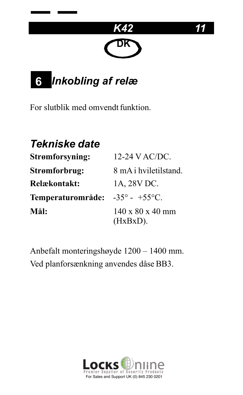

### **6** *Inkobling af relæ*

For sluthlik med omvendt funktion.

### *Tekniske date*

| Strømforsyning:                                  | 12-24 V AC/DC.                              |
|--------------------------------------------------|---------------------------------------------|
| Strømforbrug:                                    | 8 mA i hviletilstand.                       |
| Relækontakt:                                     | 1A, 28V DC.                                 |
| Temperaturområde: $-35^{\circ} - +55^{\circ}C$ . |                                             |
| Mål:                                             | $140 \times 80 \times 40$ mm<br>$(HxBxD)$ . |

Anbefalt monteringshøyde 1200 – 1400 mm. Ved planforsænkning anvendes dåse BB3.

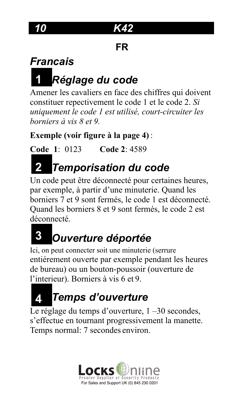#### *10 K42*

#### **FR**

# *Francais* **1** *Réglage du code*

Amener les cavaliers en face des chiffres qui doivent constituer repectivement le code 1 et le code 2. *Si uniquement le code 1 est utilisé, court-circuiter les borniers à vis 8 et 9.*

**Exemple (voir figure à la page 4)**:

**Code 1**: 0123 **Code 2**: 4589

### **2** *Temporisation du code*

Un code peut être déconnecté pour certaines heures, par exemple, à partir d'une minuterie. Quand les borniers 7 et 9 sont fermés, le code 1 est déconnecté. Quand les borniers 8 et 9 sont fermés, le code 2 est déconnecté.

# **3** *Ouverture déportée*

Ici, on peut connecter soit une minuterie (serrure entiérement ouverte par exemple pendant les heures de bureau) ou un bouton-poussoir (ouverture de l'interieur). Borniers à vis 6 et 9.

# **4** *Temps d'ouverture*

Le réglage du temps d'ouverture, 1 –30 secondes, s'effectue en tournant progressivement la manette. Temps normal: 7 secondes environ.

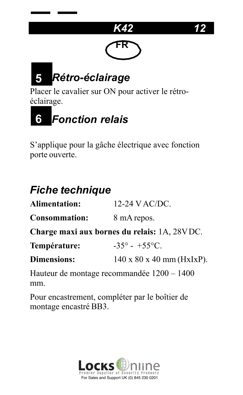

# **FR**

# **5** *Rétro-éclairage*

Placer le cavalier sur ON pour activer le rétroéclairage.

# **6** *Fonction relais*

S'applique pour la gâche électrique avec fonction porte ouverte.

### *Fiche technique*

**Alimentation:** 12-24 V AC/DC. **Consommation:** 8 mA repos. **Charge maxi aux bornes du relais:** 1A, 28VDC. **Température:** -35° - +55°C. **Dimensions: 140 x 80 x 40 mm (HxIxP).** 

Hauteur de montage recommandée 1200 – 1400 mm.

Pour encastrement, compléter par le boîtier de montage encastré BB3.

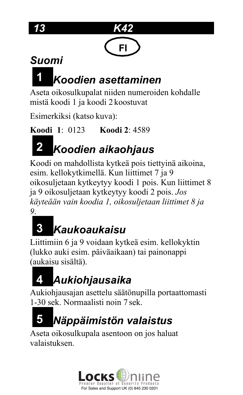



### *Suomi*

## **1** *Koodien asettaminen*

Aseta oikosulkupalat niiden numeroiden kohdalle mistä koodi 1 ja koodi 2 koostuvat

Esimerkiksi (katso kuva):

**Koodi 1**: 0123 **Koodi 2**: 4589

# **2** *Koodien aikaohjaus*

Koodi on mahdollista kytkeä pois tiettyinä aikoina, esim. kellokytkimellä. Kun liittimet 7 ja 9 oikosuljetaan kytkeytyy koodi 1 pois. Kun liittimet 8 ja 9 oikosuljetaan kytkeytyy koodi 2 pois. *Jos käyteään vain koodia 1, oikosuljetaan liittimet 8 ja 9*.

### **3** *Kaukoaukaisu*

Liittimiin 6 ja 9 voidaan kytkeä esim. kellokyktin (lukko auki esim. päiväaikaan) tai painonappi (aukaisu sisältä).

# **4** *Aukiohjausaika*

Aukiohjausajan asettelu säätönupilla portaattomasti 1-30 sek. Normaalisti noin 7 sek.

# **5** *Näppäimistön valaistus*

Aseta oikosulkupala asentoon on jos haluat valaistuksen.

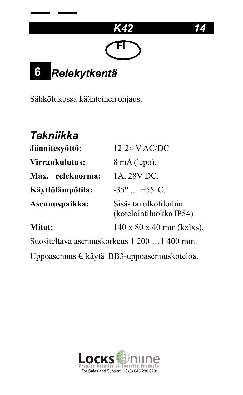

Sähkölukossa käänteinen ohjaus.

### *Tekniikka*

| Jännitesvöttö:   | 12-24 V AC/DC                                     |
|------------------|---------------------------------------------------|
| Virrankulutus:   | $8 \text{ mA}$ (lepo).                            |
| Max. relekuorma: | 1A, 28V DC.                                       |
| Käyttölämpötila: | $-35^{\circ}$ $+55^{\circ}$ C.                    |
| Asennuspaikka:   | Sisä- tai ulkotiloihin<br>(kotelointiluokka IP54) |
| Mitat:           | 140 x 80 x 40 mm (kxlxs).                         |
|                  |                                                   |

Suositeltava asennuskorkeus 1 200 …1 400 mm.

Uppoasennus € käytä BB3-uppoasennuskoteloa.

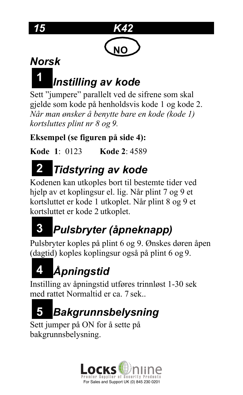



# **NO**

# *Norsk* **1** *Instilling av kode*

Sett "jumpere" parallelt ved de sifrene som skal gjelde som kode på henholdsvis kode 1 og kode 2. *Når man ønsker å benytte bare en kode (kode 1) kortsluttes plint nr 8 og 9.*

**Eksempel (se figuren på side 4):** 

**Kode 1**: 0123 **Kode 2**: 4589

# **2** *Tidstyring av kode*

Kodenen kan utkoples bort til bestemte tider ved hjelp av et koplingsur el. lig. Når plint 7 og 9 et kortsluttet er kode 1 utkoplet. Når plint 8 og 9 et kortsluttet er kode 2 utkoplet.

# **3** *Pulsbryter (åpneknapp)*

Pulsbryter koples på plint 6 og 9. Ønskes døren åpen (dagtid) koples koplingsur også på plint 6 og 9.

# **4** *Åpningstid*

Instilling av åpningstid utføres trinnløst 1-30 sek med rattet Normaltid er ca. 7 sek..

# **5** *Bakgrunnsbelysning*

Sett jumper på ON for å sette på bakgrunnsbelysning.

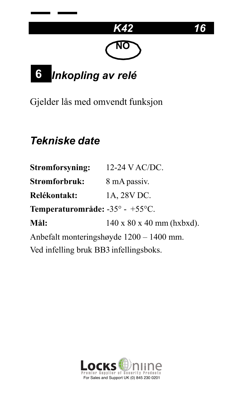

Gjelder lås med omvendt funksjon

#### *Tekniske date*

**Strømforsyning:** 12-24 V AC/DC. **Strømforbruk:** 8 mA passiv. **Relékontakt:** 1A, 28V DC. **Temperaturområde:** -35° - +55°C. **Mål:** 140 x 80 x 40 mm (hxbxd). Anbefalt monteringshøyde 1200 – 1400 mm. Ved infelling bruk BB3 infellingsboks.

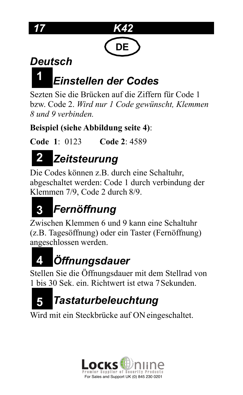



# **DE**

# *Deutsch* **1** *Einstellen der Codes*

Sezten Sie die Brücken auf die Ziffern für Code 1 bzw. Code 2. *Wird nur 1 Code gewünscht, Klemmen 8 und 9 verbinden.*

#### **Beispiel (siehe Abbildung seite 4)**:

**Code 1**: 0123 **Code 2**: 4589



Die Codes können z.B. durch eine Schaltuhr, abgeschaltet werden: Code 1 durch verbindung der Klemmen 7/9, Code 2 durch 8/9.

# **3** *Fernöffnung*

Zwischen Klemmen 6 und 9 kann eine Schaltuhr (z.B. Tagesöffnung) oder ein Taster (Fernöffnung) angeschlossen werden.

### **4** *Öffnungsdauer*

Stellen Sie die Öffnungsdauer mit dem Stellrad von 1 bis 30 Sek. ein. Richtwert ist etwa 7Sekunden.

### **5** *Tastaturbeleuchtung*

Wird mit ein Steckbrücke auf ON eingeschaltet.

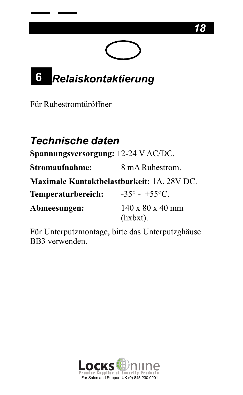

#### *Technische daten*

**Spannungsversorgung:** 12-24 V AC/DC.

**Stromaufnahme:** 8 mA Ruhestrom.

**Maximale Kantaktbelastbarkeit:** 1A, 28V DC.

**Temperaturbereich:** -35° - +55°C.

**Abmeesungen:** 140 x 80 x 40 mm (hxbxt).

Für Unterputzmontage, bitte das Unterputzghäuse BB3 verwenden.

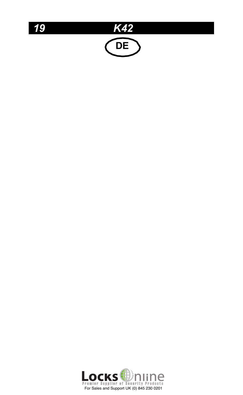